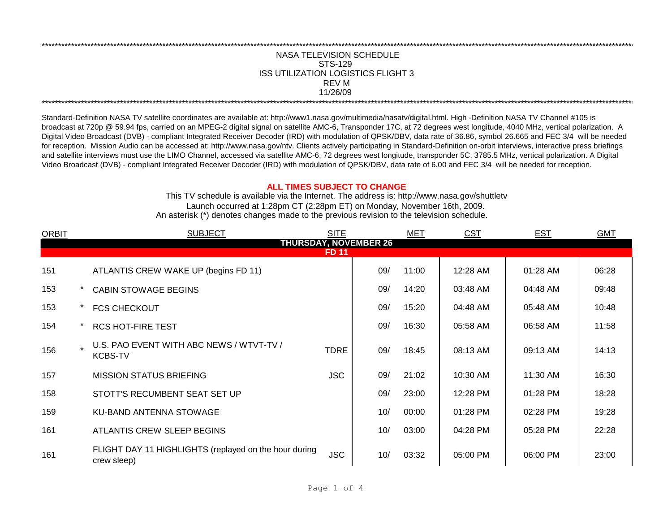## NASA TELEVISION SCHEDULE STS-129 REV M 11/26/09 \*\*\*\*\*\*\*\*\*\*\*\*\*\*\*\*\*\*\*\*\*\*\*\*\*\*\*\*\*\*\*\*\*\*\*\*\*\*\*\*\*\*\*\*\*\*\*\*\*\*\*\*\*\*\*\*\*\*\*\*\*\*\*\*\*\*\*\*\*\*\*\*\*\*\*\*\*\*\*\*\*\*\*\*\*\*\*\*\*\*\*\*\*\*\*\*\*\*\*\*\*\*\*\*\*\*\*\*\*\*\*\*\*\*\*\*\*\*\*\*\*\*\*\*\*\*\*\*\*\*\*\*\*\*\*\*\*\*\*\*\*\*\*\*\*\*\*\*\*\*\*\*\*\*\*\*\*\*\*\*\*\*\*\*\*\*\*\*\*\*\*\*\*\*\*\*\*\*\*\*\*\*\*\*\* ISS UTILIZATION LOGISTICS FLIGHT 3

\*\*\*\*\*\*\*\*\*\*\*\*\*\*\*\*\*\*\*\*\*\*\*\*\*\*\*\*\*\*\*\*\*\*\*\*\*\*\*\*\*\*\*\*\*\*\*\*\*\*\*\*\*\*\*\*\*\*\*\*\*\*\*\*\*\*\*\*\*\*\*\*\*\*\*\*\*\*\*\*\*\*\*\*\*\*\*\*\*\*\*\*\*\*\*\*\*\*\*\*\*\*\*\*\*\*\*\*\*\*\*\*\*\*\*\*\*\*\*\*\*\*\*\*\*\*\*\*\*\*\*\*\*\*\*\*\*\*\*\*\*\*\*\*\*\*\*\*\*\*\*\*\*\*\*\*\*\*\*\*\*\*\*\*\*\*\*\*\*\*\*\*\*\*\*\*\*\*\*\*\*\*\*\*\*

Standard-Definition NASA TV satellite coordinates are available at: http://www1.nasa.gov/multimedia/nasatv/digital.html. High -Definition NASA TV Channel #105 is broadcast at 720p @ 59.94 fps, carried on an MPEG-2 digital signal on satellite AMC-6, Transponder 17C, at 72 degrees west longitude, 4040 MHz, vertical polarization. A Digital Video Broadcast (DVB) - compliant Integrated Receiver Decoder (IRD) with modulation of QPSK/DBV, data rate of 36.86, symbol 26.665 and FEC 3/4 will be needed for reception. Mission Audio can be accessed at: http://www.nasa.gov/ntv. Clients actively participating in Standard-Definition on-orbit interviews, interactive press briefings and satellite interviews must use the LIMO Channel, accessed via satellite AMC-6, 72 degrees west longitude, transponder 5C, 3785.5 MHz, vertical polarization. A Digital Video Broadcast (DVB) - compliant Integrated Receiver Decoder (IRD) with modulation of QPSK/DBV, data rate of 6.00 and FEC 3/4 will be needed for reception.

## **ALL TIMES SUBJECT TO CHANGE**

Launch occurred at 1:28pm CT (2:28pm ET) on Monday, November 16th, 2009. An asterisk (\*) denotes changes made to the previous revision to the television schedule. This TV schedule is available via the Internet. The address is: http://www.nasa.gov/shuttletv

| <b>ORBIT</b> | <b>SUBJECT</b>                                                       | <b>SITE</b>  |                              | MET   | <b>CST</b> | <b>EST</b> | <b>GMT</b> |
|--------------|----------------------------------------------------------------------|--------------|------------------------------|-------|------------|------------|------------|
|              |                                                                      |              | <b>THURSDAY, NOVEMBER 26</b> |       |            |            |            |
|              |                                                                      | <b>FD 11</b> |                              |       |            |            |            |
| 151          | ATLANTIS CREW WAKE UP (begins FD 11)                                 |              | 09/                          | 11:00 | 12:28 AM   | 01:28 AM   | 06:28      |
| 153          | <b>CABIN STOWAGE BEGINS</b>                                          |              | 09/                          | 14:20 | 03:48 AM   | 04:48 AM   | 09:48      |
| 153          | <b>FCS CHECKOUT</b>                                                  |              | 09/                          | 15:20 | 04:48 AM   | 05:48 AM   | 10:48      |
| 154          | <b>RCS HOT-FIRE TEST</b>                                             |              | 09/                          | 16:30 | 05:58 AM   | 06:58 AM   | 11:58      |
| 156          | U.S. PAO EVENT WITH ABC NEWS / WTVT-TV /<br><b>KCBS-TV</b>           | <b>TDRE</b>  | 09/                          | 18:45 | 08:13 AM   | 09:13 AM   | 14:13      |
| 157          | <b>MISSION STATUS BRIEFING</b>                                       | <b>JSC</b>   | 09/                          | 21:02 | 10:30 AM   | 11:30 AM   | 16:30      |
| 158          | STOTT'S RECUMBENT SEAT SET UP                                        |              | 09/                          | 23:00 | 12:28 PM   | 01:28 PM   | 18:28      |
| 159          | KU-BAND ANTENNA STOWAGE                                              |              | 10/                          | 00:00 | 01:28 PM   | 02:28 PM   | 19:28      |
| 161          | ATLANTIS CREW SLEEP BEGINS                                           |              | 10/                          | 03:00 | 04:28 PM   | 05:28 PM   | 22:28      |
| 161          | FLIGHT DAY 11 HIGHLIGHTS (replayed on the hour during<br>crew sleep) | <b>JSC</b>   | 10/                          | 03:32 | 05:00 PM   | 06:00 PM   | 23:00      |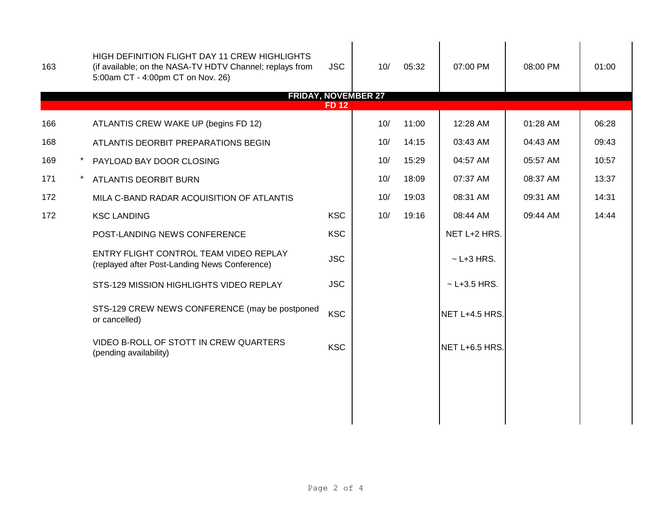| 163 | HIGH DEFINITION FLIGHT DAY 11 CREW HIGHLIGHTS<br>(if available; on the NASA-TV HDTV Channel; replays from<br>5:00am CT - 4:00pm CT on Nov. 26) | <b>JSC</b>   | 10/ | 05:32 | 07:00 PM         | 08:00 PM | 01:00 |
|-----|------------------------------------------------------------------------------------------------------------------------------------------------|--------------|-----|-------|------------------|----------|-------|
|     | <b>FRIDAY, NOVEMBER 27</b>                                                                                                                     | <b>FD 12</b> |     |       |                  |          |       |
| 166 | ATLANTIS CREW WAKE UP (begins FD 12)                                                                                                           |              | 10/ | 11:00 | 12:28 AM         | 01:28 AM | 06:28 |
| 168 | ATLANTIS DEORBIT PREPARATIONS BEGIN                                                                                                            |              | 10/ | 14:15 | 03:43 AM         | 04:43 AM | 09:43 |
| 169 | PAYLOAD BAY DOOR CLOSING                                                                                                                       |              | 10/ | 15:29 | 04:57 AM         | 05:57 AM | 10:57 |
| 171 | ATLANTIS DEORBIT BURN                                                                                                                          |              | 10/ | 18:09 | 07:37 AM         | 08:37 AM | 13:37 |
| 172 | MILA C-BAND RADAR ACQUISITION OF ATLANTIS                                                                                                      |              | 10/ | 19:03 | 08:31 AM         | 09:31 AM | 14:31 |
| 172 | <b>KSC LANDING</b>                                                                                                                             | <b>KSC</b>   | 10/ | 19:16 | 08:44 AM         | 09:44 AM | 14:44 |
|     | POST-LANDING NEWS CONFERENCE                                                                                                                   | <b>KSC</b>   |     |       | NET L+2 HRS.     |          |       |
|     | ENTRY FLIGHT CONTROL TEAM VIDEO REPLAY<br>(replayed after Post-Landing News Conference)                                                        | <b>JSC</b>   |     |       | $\sim$ L+3 HRS.  |          |       |
|     | STS-129 MISSION HIGHLIGHTS VIDEO REPLAY                                                                                                        | <b>JSC</b>   |     |       | $~$ - L+3.5 HRS. |          |       |
|     | STS-129 CREW NEWS CONFERENCE (may be postponed<br>or cancelled)                                                                                | <b>KSC</b>   |     |       | NET L+4.5 HRS.   |          |       |
|     | VIDEO B-ROLL OF STOTT IN CREW QUARTERS<br>(pending availability)                                                                               | <b>KSC</b>   |     |       | NET L+6.5 HRS.   |          |       |
|     |                                                                                                                                                |              |     |       |                  |          |       |
|     |                                                                                                                                                |              |     |       |                  |          |       |
|     |                                                                                                                                                |              |     |       |                  |          |       |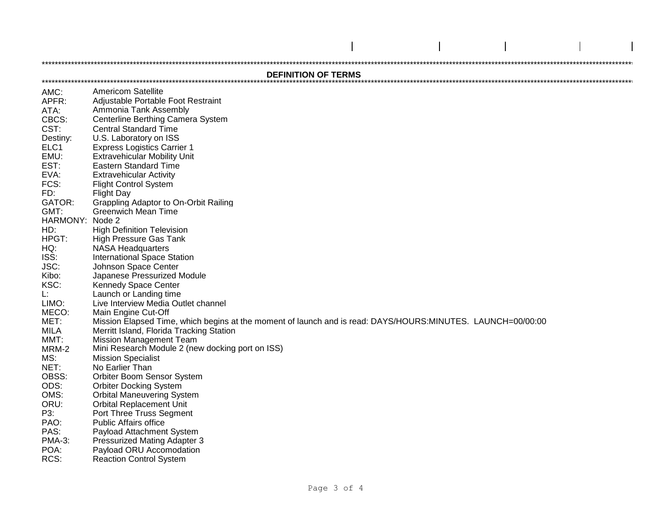## **DEFINITION OF TERMS**

**Americom Satellite** AMC: APFR: Adjustable Portable Foot Restraint ATA: Ammonia Tank Assembly CBCS: Centerline Berthing Camera System **Central Standard Time**  $CST:$ U.S. Laboratory on ISS Destiny: ELC<sub>1</sub> **Express Logistics Carrier 1**  $FMLF$ **Extravehicular Mobility Unit** EST: **Eastern Standard Time** EVA: **Extravehicular Activity** FCS: **Flight Control System** FD: **Flight Dav** Grappling Adaptor to On-Orbit Railing GATOR: **Greenwich Mean Time**  $GMT:$ HARMONY: Node 2 **High Definition Television**  $HD:$ HPGT: High Pressure Gas Tank HO. **NASA Headquarters** ISS: **International Space Station**  $JSC^+$ Johnson Space Center Japanese Pressurized Module Kibo: KSC: **Kennedy Space Center** Launch or Landing time  $\mathbf{F}$ LIMO: Live Interview Media Outlet channel MECO: Main Engine Cut-Off MET: Mission Elapsed Time, which begins at the moment of launch and is read: DAYS/HOURS:MINUTES. LAUNCH=00/00:00 Merritt Island, Florida Tracking Station MILA  $MMT$ **Mission Management Team** Mini Research Module 2 (new docking port on ISS) MRM-2 MS: **Mission Specialist** NET: No Earlier Than Orbiter Boom Sensor System OBSS:  $ODS^1$ **Orbiter Docking System**  $OMS:$ **Orbital Maneuvering System** ORU: **Orbital Replacement Unit** P3: Port Three Truss Segment PAO: **Public Affairs office** PAS: Payload Attachment System Pressurized Mating Adapter 3 **PMA-3:** POA: Payload ORU Accomodation RCS: **Reaction Control System**